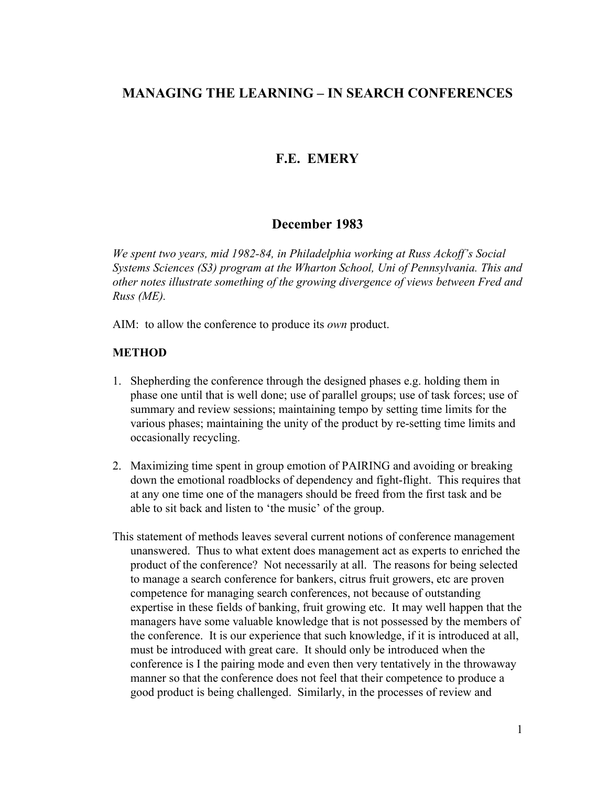# **MANAGING THE LEARNING – IN SEARCH CONFERENCES**

## **F.E. EMERY**

### **December 1983**

*We spent two years, mid 1982-84, in Philadelphia working at Russ Ackoff's Social Systems Sciences (S3) program at the Wharton School, Uni of Pennsylvania. This and other notes illustrate something of the growing divergence of views between Fred and Russ (ME).*

AIM: to allow the conference to produce its *own* product.

#### **METHOD**

- 1. Shepherding the conference through the designed phases e.g. holding them in phase one until that is well done; use of parallel groups; use of task forces; use of summary and review sessions; maintaining tempo by setting time limits for the various phases; maintaining the unity of the product by re-setting time limits and occasionally recycling.
- 2. Maximizing time spent in group emotion of PAIRING and avoiding or breaking down the emotional roadblocks of dependency and fight-flight. This requires that at any one time one of the managers should be freed from the first task and be able to sit back and listen to 'the music' of the group.
- This statement of methods leaves several current notions of conference management unanswered. Thus to what extent does management act as experts to enriched the product of the conference? Not necessarily at all. The reasons for being selected to manage a search conference for bankers, citrus fruit growers, etc are proven competence for managing search conferences, not because of outstanding expertise in these fields of banking, fruit growing etc. It may well happen that the managers have some valuable knowledge that is not possessed by the members of the conference. It is our experience that such knowledge, if it is introduced at all, must be introduced with great care. It should only be introduced when the conference is I the pairing mode and even then very tentatively in the throwaway manner so that the conference does not feel that their competence to produce a good product is being challenged. Similarly, in the processes of review and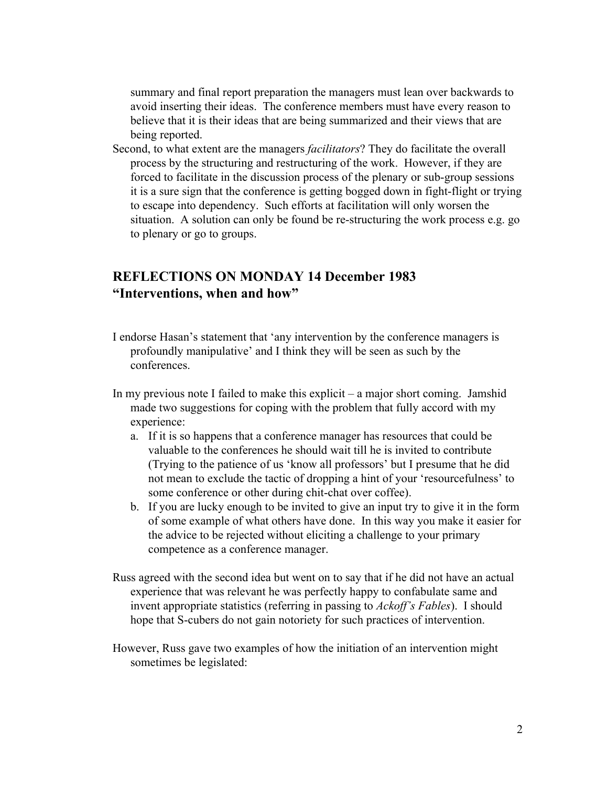summary and final report preparation the managers must lean over backwards to avoid inserting their ideas. The conference members must have every reason to believe that it is their ideas that are being summarized and their views that are being reported.

Second, to what extent are the managers *facilitators*? They do facilitate the overall process by the structuring and restructuring of the work. However, if they are forced to facilitate in the discussion process of the plenary or sub-group sessions it is a sure sign that the conference is getting bogged down in fight-flight or trying to escape into dependency. Such efforts at facilitation will only worsen the situation. A solution can only be found be re-structuring the work process e.g. go to plenary or go to groups.

# **REFLECTIONS ON MONDAY 14 December 1983 "Interventions, when and how"**

- I endorse Hasan's statement that 'any intervention by the conference managers is profoundly manipulative' and I think they will be seen as such by the conferences.
- In my previous note I failed to make this explicit a major short coming. Jamshid made two suggestions for coping with the problem that fully accord with my experience:
	- a. If it is so happens that a conference manager has resources that could be valuable to the conferences he should wait till he is invited to contribute (Trying to the patience of us 'know all professors' but I presume that he did not mean to exclude the tactic of dropping a hint of your 'resourcefulness' to some conference or other during chit-chat over coffee).
	- b. If you are lucky enough to be invited to give an input try to give it in the form of some example of what others have done. In this way you make it easier for the advice to be rejected without eliciting a challenge to your primary competence as a conference manager.
- Russ agreed with the second idea but went on to say that if he did not have an actual experience that was relevant he was perfectly happy to confabulate same and invent appropriate statistics (referring in passing to *Ackoff's Fables*). I should hope that S-cubers do not gain notoriety for such practices of intervention.
- However, Russ gave two examples of how the initiation of an intervention might sometimes be legislated: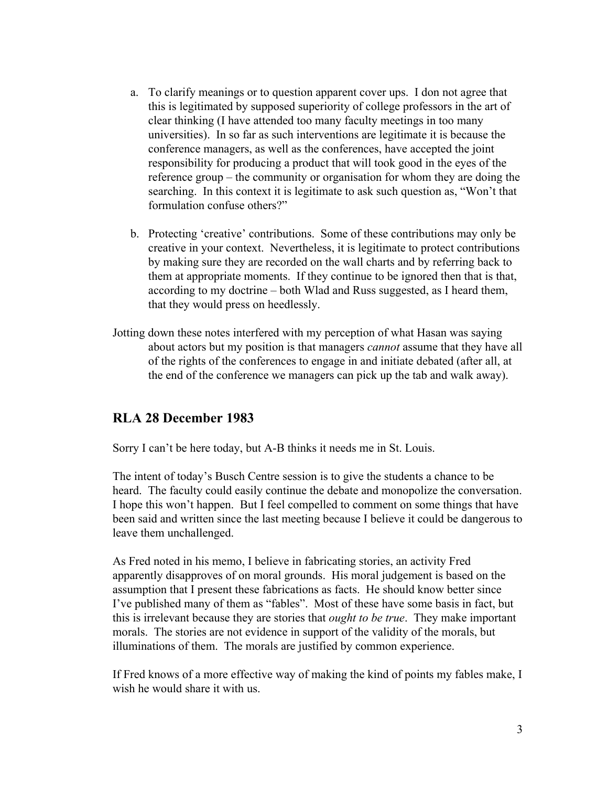- a. To clarify meanings or to question apparent cover ups. I don not agree that this is legitimated by supposed superiority of college professors in the art of clear thinking (I have attended too many faculty meetings in too many universities). In so far as such interventions are legitimate it is because the conference managers, as well as the conferences, have accepted the joint responsibility for producing a product that will took good in the eyes of the reference group – the community or organisation for whom they are doing the searching. In this context it is legitimate to ask such question as, "Won't that formulation confuse others?"
- b. Protecting 'creative' contributions. Some of these contributions may only be creative in your context. Nevertheless, it is legitimate to protect contributions by making sure they are recorded on the wall charts and by referring back to them at appropriate moments. If they continue to be ignored then that is that, according to my doctrine – both Wlad and Russ suggested, as I heard them, that they would press on heedlessly.
- Jotting down these notes interfered with my perception of what Hasan was saying about actors but my position is that managers *cannot* assume that they have all of the rights of the conferences to engage in and initiate debated (after all, at the end of the conference we managers can pick up the tab and walk away).

# **RLA 28 December 1983**

Sorry I can't be here today, but A-B thinks it needs me in St. Louis.

The intent of today's Busch Centre session is to give the students a chance to be heard. The faculty could easily continue the debate and monopolize the conversation. I hope this won't happen. But I feel compelled to comment on some things that have been said and written since the last meeting because I believe it could be dangerous to leave them unchallenged.

As Fred noted in his memo, I believe in fabricating stories, an activity Fred apparently disapproves of on moral grounds. His moral judgement is based on the assumption that I present these fabrications as facts. He should know better since I've published many of them as "fables". Most of these have some basis in fact, but this is irrelevant because they are stories that *ought to be true*. They make important morals. The stories are not evidence in support of the validity of the morals, but illuminations of them. The morals are justified by common experience.

If Fred knows of a more effective way of making the kind of points my fables make, I wish he would share it with us.